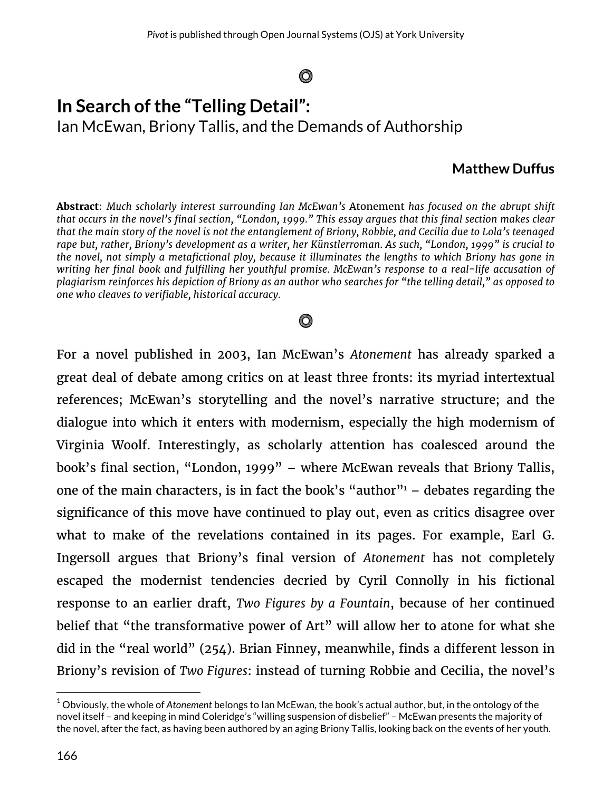## O

# **In Search of the "Telling Detail":** Ian McEwan, Briony Tallis, and the Demands of Authorship

### **Matthew Duffus**

**Abstract**: *Much scholarly interest surrounding Ian McEwan's* Atonement *has focused on the abrupt shift that occurs in the novel's final section, "London, 1999." This essay argues that this final section makes clear that the main story of the novel is not the entanglement of Briony, Robbie, and Cecilia due to Lola's teenaged rape but, rather, Briony's development as a writer, her Künstlerroman. As such, "London, 1999" is crucial to the novel, not simply a metafictional ploy, because it illuminates the lengths to which Briony has gone in writing her final book and fulfilling her youthful promise. McEwan's response to a real-life accusation of plagiarism reinforces his depiction of Briony as an author who searches for "the telling detail," as opposed to one who cleaves to verifiable, historical accuracy.*

### O

For a novel published in 2003, Ian McEwan's *Atonement* has already sparked a great deal of debate among critics on at least three fronts: its myriad intertextual references; McEwan's storytelling and the novel's narrative structure; and the dialogue into which it enters with modernism, especially the high modernism of Virginia Woolf. Interestingly, as scholarly attention has coalesced around the book's final section, "London, 1999" – where McEwan reveals that Briony Tallis, one of the main characters, is in fact the book's "author" $1 -$  debates regarding the significance of this move have continued to play out, even as critics disagree over what to make of the revelations contained in its pages. For example, Earl G. Ingersoll argues that Briony's final version of *Atonement* has not completely escaped the modernist tendencies decried by Cyril Connolly in his fictional response to an earlier draft, *Two Figures by a Fountain*, because of her continued belief that "the transformative power of Art" will allow her to atone for what she did in the "real world" (254). Brian Finney, meanwhile, finds a different lesson in Briony's revision of *Two Figures*: instead of turning Robbie and Cecilia, the novel's

<sup>1</sup> Obviously, the whole of *Atonement* belongs to Ian McEwan, the book's actual author, but, in the ontology of the novel itself – and keeping in mind Coleridge's "willing suspension of disbelief" – McEwan presents the majority of the novel, after the fact, as having been authored by an aging Briony Tallis, looking back on the events of her youth.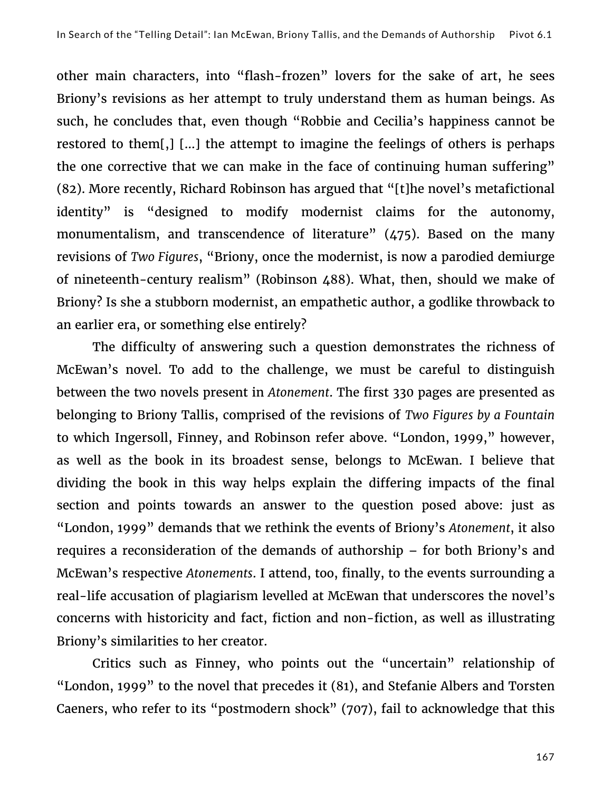other main characters, into "flash-frozen" lovers for the sake of art, he sees Briony's revisions as her attempt to truly understand them as human beings. As such, he concludes that, even though "Robbie and Cecilia's happiness cannot be restored to them[,] […] the attempt to imagine the feelings of others is perhaps the one corrective that we can make in the face of continuing human suffering" (82). More recently, Richard Robinson has argued that "[t]he novel's metafictional identity" is "designed to modify modernist claims for the autonomy, monumentalism, and transcendence of literature" (475). Based on the many revisions of *Two Figures*, "Briony, once the modernist, is now a parodied demiurge of nineteenth-century realism" (Robinson 488). What, then, should we make of Briony? Is she a stubborn modernist, an empathetic author, a godlike throwback to an earlier era, or something else entirely?

The difficulty of answering such a question demonstrates the richness of McEwan's novel. To add to the challenge, we must be careful to distinguish between the two novels present in *Atonement*. The first 330 pages are presented as belonging to Briony Tallis, comprised of the revisions of *Two Figures by a Fountain* to which Ingersoll, Finney, and Robinson refer above. "London, 1999," however, as well as the book in its broadest sense, belongs to McEwan. I believe that dividing the book in this way helps explain the differing impacts of the final section and points towards an answer to the question posed above: just as "London, 1999" demands that we rethink the events of Briony's *Atonement*, it also requires a reconsideration of the demands of authorship – for both Briony's and McEwan's respective *Atonements*. I attend, too, finally, to the events surrounding a real-life accusation of plagiarism levelled at McEwan that underscores the novel's concerns with historicity and fact, fiction and non-fiction, as well as illustrating Briony's similarities to her creator.

Critics such as Finney, who points out the "uncertain" relationship of "London, 1999" to the novel that precedes it (81), and Stefanie Albers and Torsten Caeners, who refer to its "postmodern shock" (707), fail to acknowledge that this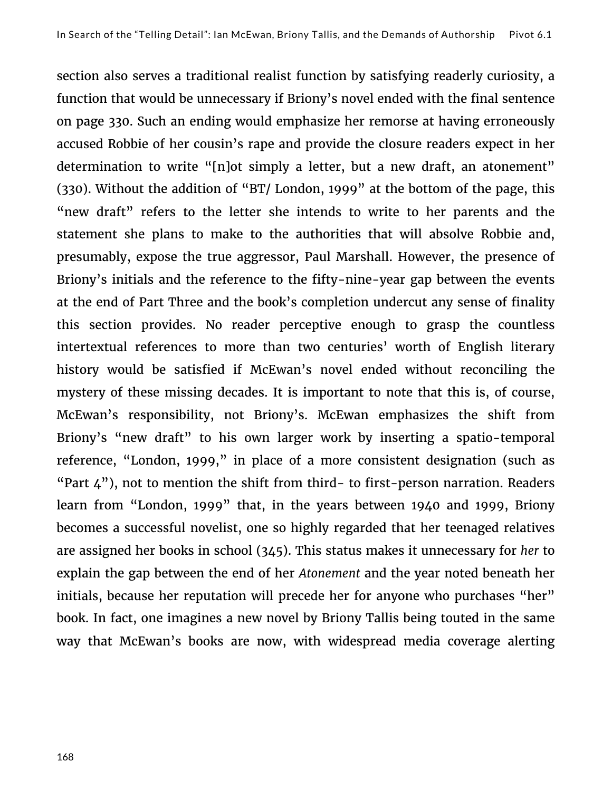section also serves a traditional realist function by satisfying readerly curiosity, a function that would be unnecessary if Briony's novel ended with the final sentence on page 330. Such an ending would emphasize her remorse at having erroneously accused Robbie of her cousin's rape and provide the closure readers expect in her determination to write "[n]ot simply a letter, but a new draft, an atonement" (330). Without the addition of "BT/ London, 1999" at the bottom of the page, this "new draft" refers to the letter she intends to write to her parents and the statement she plans to make to the authorities that will absolve Robbie and, presumably, expose the true aggressor, Paul Marshall. However, the presence of Briony's initials and the reference to the fifty-nine-year gap between the events at the end of Part Three and the book's completion undercut any sense of finality this section provides. No reader perceptive enough to grasp the countless intertextual references to more than two centuries' worth of English literary history would be satisfied if McEwan's novel ended without reconciling the mystery of these missing decades. It is important to note that this is, of course, McEwan's responsibility, not Briony's. McEwan emphasizes the shift from Briony's "new draft" to his own larger work by inserting a spatio-temporal reference, "London, 1999," in place of a more consistent designation (such as "Part  $\mu$ "), not to mention the shift from third- to first-person narration. Readers learn from "London, 1999" that, in the years between 1940 and 1999, Briony becomes a successful novelist, one so highly regarded that her teenaged relatives are assigned her books in school (345). This status makes it unnecessary for *her* to explain the gap between the end of her *Atonement* and the year noted beneath her initials, because her reputation will precede her for anyone who purchases "her" book. In fact, one imagines a new novel by Briony Tallis being touted in the same way that McEwan's books are now, with widespread media coverage alerting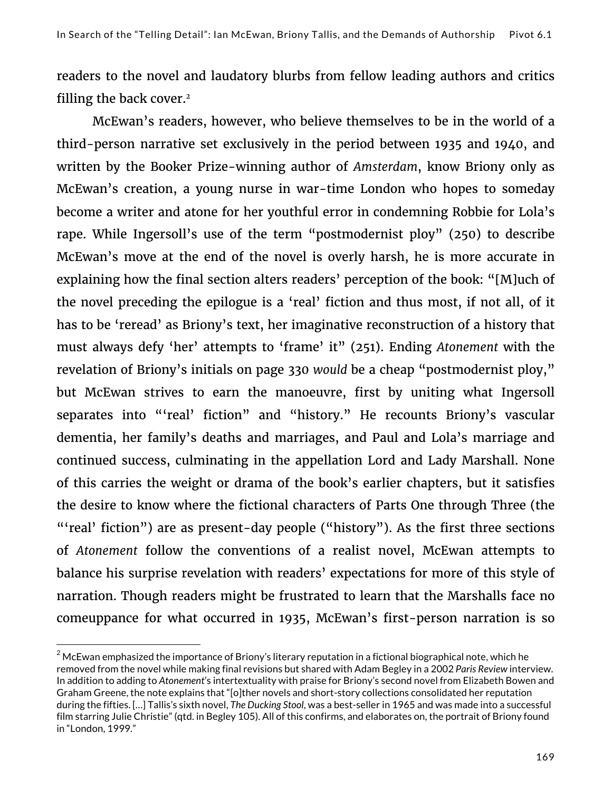readers to the novel and laudatory blurbs from fellow leading authors and critics filling the back cover.<sup>2</sup>

McEwan's readers, however, who believe themselves to be in the world of a third-person narrative set exclusively in the period between 1935 and 1940, and written by the Booker Prize-winning author of *Amsterdam*, know Briony only as McEwan's creation, a young nurse in war-time London who hopes to someday become a writer and atone for her youthful error in condemning Robbie for Lola's rape. While Ingersoll's use of the term "postmodernist ploy" (250) to describe McEwan's move at the end of the novel is overly harsh, he is more accurate in explaining how the final section alters readers' perception of the book: "[M]uch of the novel preceding the epilogue is a 'real' fiction and thus most, if not all, of it has to be 'reread' as Briony's text, her imaginative reconstruction of a history that must always defy 'her' attempts to 'frame' it" (251). Ending *Atonement* with the revelation of Briony's initials on page 330 *would* be a cheap "postmodernist ploy," but McEwan strives to earn the manoeuvre, first by uniting what Ingersoll separates into "'real' fiction" and "history." He recounts Briony's vascular dementia, her family's deaths and marriages, and Paul and Lola's marriage and continued success, culminating in the appellation Lord and Lady Marshall. None of this carries the weight or drama of the book's earlier chapters, but it satisfies the desire to know where the fictional characters of Parts One through Three (the "'real' fiction") are as present-day people ("history"). As the first three sections of *Atonement* follow the conventions of a realist novel, McEwan attempts to balance his surprise revelation with readers' expectations for more of this style of narration. Though readers might be frustrated to learn that the Marshalls face no comeuppance for what occurred in 1935, McEwan's first-person narration is so

 $2$  McEwan emphasized the importance of Briony's literary reputation in a fictional biographical note, which he removed from the novel while making final revisions but shared with Adam Begley in a 2002 *Paris Review* interview. In addition to adding to *Atonement*'s intertextuality with praise for Briony's second novel from Elizabeth Bowen and Graham Greene, the note explains that "[o]ther novels and short-story collections consolidated her reputation during the fifties. […] Tallis's sixth novel, *The Ducking Stool*, was a best-seller in 1965 and was made into a successful film starring Julie Christie" (qtd. in Begley 105). All of this confirms, and elaborates on, the portrait of Briony found in "London, 1999."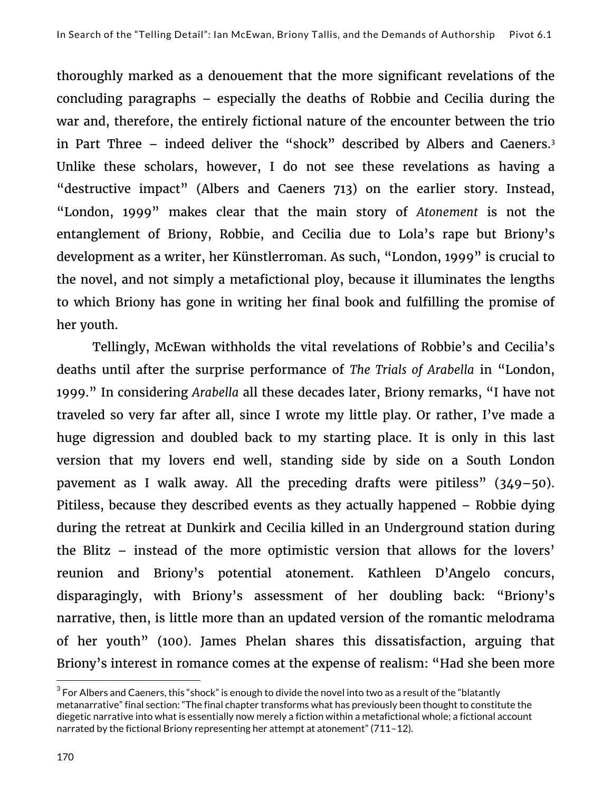thoroughly marked as a denouement that the more significant revelations of the concluding paragraphs – especially the deaths of Robbie and Cecilia during the war and, therefore, the entirely fictional nature of the encounter between the trio in Part Three – indeed deliver the "shock" described by Albers and Caeners.3 Unlike these scholars, however, I do not see these revelations as having a "destructive impact" (Albers and Caeners 713) on the earlier story. Instead, "London, 1999" makes clear that the main story of *Atonement* is not the entanglement of Briony, Robbie, and Cecilia due to Lola's rape but Briony's development as a writer, her Künstlerroman. As such, "London, 1999" is crucial to the novel, and not simply a metafictional ploy, because it illuminates the lengths to which Briony has gone in writing her final book and fulfilling the promise of her youth.

Tellingly, McEwan withholds the vital revelations of Robbie's and Cecilia's deaths until after the surprise performance of *The Trials of Arabella* in "London, 1999." In considering *Arabella* all these decades later, Briony remarks, "I have not traveled so very far after all, since I wrote my little play. Or rather, I've made a huge digression and doubled back to my starting place. It is only in this last version that my lovers end well, standing side by side on a South London pavement as I walk away. All the preceding drafts were pitiless" (349–50). Pitiless, because they described events as they actually happened – Robbie dying during the retreat at Dunkirk and Cecilia killed in an Underground station during the Blitz – instead of the more optimistic version that allows for the lovers' reunion and Briony's potential atonement. Kathleen D'Angelo concurs, disparagingly, with Briony's assessment of her doubling back: "Briony's narrative, then, is little more than an updated version of the romantic melodrama of her youth" (100). James Phelan shares this dissatisfaction, arguing that Briony's interest in romance comes at the expense of realism: "Had she been more

 $3$  For Albers and Caeners, this "shock" is enough to divide the novel into two as a result of the "blatantly metanarrative" final section: "The final chapter transforms what has previously been thought to constitute the diegetic narrative into what is essentially now merely a fiction within a metafictional whole; a fictional account narrated by the fictional Briony representing her attempt at atonement" (711–12).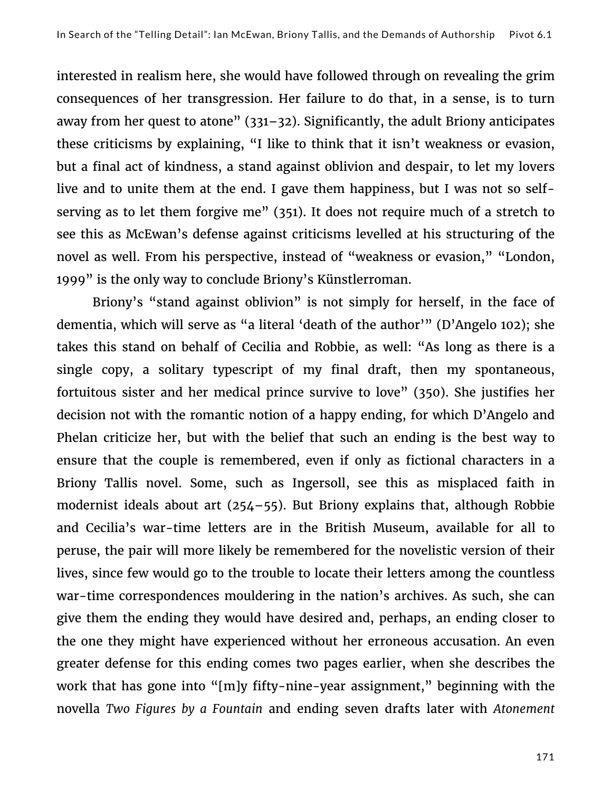interested in realism here, she would have followed through on revealing the grim consequences of her transgression. Her failure to do that, in a sense, is to turn away from her quest to atone"  $(331-32)$ . Significantly, the adult Briony anticipates these criticisms by explaining, "I like to think that it isn't weakness or evasion, but a final act of kindness, a stand against oblivion and despair, to let my lovers live and to unite them at the end. I gave them happiness, but I was not so selfserving as to let them forgive me" (351). It does not require much of a stretch to see this as McEwan's defense against criticisms levelled at his structuring of the novel as well. From his perspective, instead of "weakness or evasion," "London, 1999" is the only way to conclude Briony's Künstlerroman.

Briony's "stand against oblivion" is not simply for herself, in the face of dementia, which will serve as "a literal 'death of the author'" (D'Angelo 102); she takes this stand on behalf of Cecilia and Robbie, as well: "As long as there is a single copy, a solitary typescript of my final draft, then my spontaneous, fortuitous sister and her medical prince survive to love" (350). She justifies her decision not with the romantic notion of a happy ending, for which D'Angelo and Phelan criticize her, but with the belief that such an ending is the best way to ensure that the couple is remembered, even if only as fictional characters in a Briony Tallis novel. Some, such as Ingersoll, see this as misplaced faith in modernist ideals about art (254–55). But Briony explains that, although Robbie and Cecilia's war-time letters are in the British Museum, available for all to peruse, the pair will more likely be remembered for the novelistic version of their lives, since few would go to the trouble to locate their letters among the countless war-time correspondences mouldering in the nation's archives. As such, she can give them the ending they would have desired and, perhaps, an ending closer to the one they might have experienced without her erroneous accusation. An even greater defense for this ending comes two pages earlier, when she describes the work that has gone into "[m]y fifty-nine-year assignment," beginning with the novella *Two Figures by a Fountain* and ending seven drafts later with *Atonement*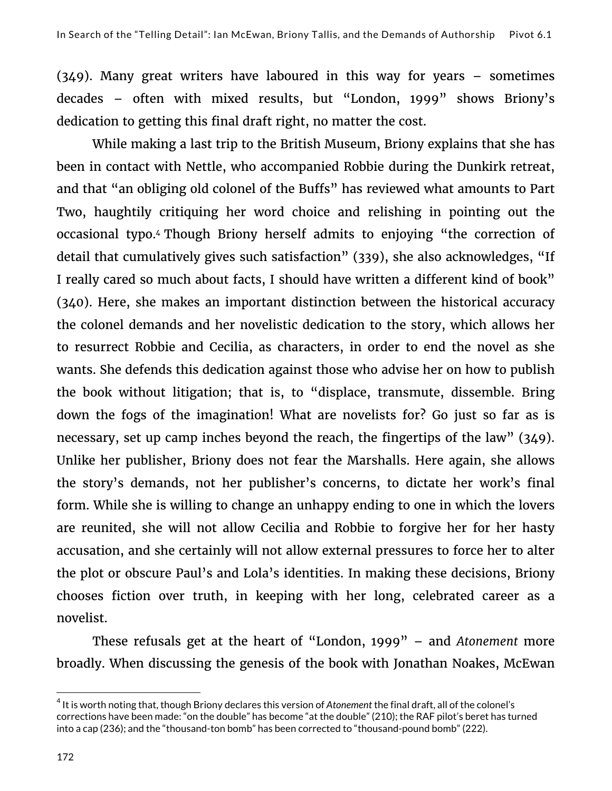(349). Many great writers have laboured in this way for years – sometimes decades – often with mixed results, but "London, 1999" shows Briony's dedication to getting this final draft right, no matter the cost.

While making a last trip to the British Museum, Briony explains that she has been in contact with Nettle, who accompanied Robbie during the Dunkirk retreat, and that "an obliging old colonel of the Buffs" has reviewed what amounts to Part Two, haughtily critiquing her word choice and relishing in pointing out the occasional typo.4 Though Briony herself admits to enjoying "the correction of detail that cumulatively gives such satisfaction" (339), she also acknowledges, "If I really cared so much about facts, I should have written a different kind of book" (340). Here, she makes an important distinction between the historical accuracy the colonel demands and her novelistic dedication to the story, which allows her to resurrect Robbie and Cecilia, as characters, in order to end the novel as she wants. She defends this dedication against those who advise her on how to publish the book without litigation; that is, to "displace, transmute, dissemble. Bring down the fogs of the imagination! What are novelists for? Go just so far as is necessary, set up camp inches beyond the reach, the fingertips of the law" (349). Unlike her publisher, Briony does not fear the Marshalls. Here again, she allows the story's demands, not her publisher's concerns, to dictate her work's final form. While she is willing to change an unhappy ending to one in which the lovers are reunited, she will not allow Cecilia and Robbie to forgive her for her hasty accusation, and she certainly will not allow external pressures to force her to alter the plot or obscure Paul's and Lola's identities. In making these decisions, Briony chooses fiction over truth, in keeping with her long, celebrated career as a novelist.

These refusals get at the heart of "London, 1999" – and *Atonement* more broadly. When discussing the genesis of the book with Jonathan Noakes, McEwan

<sup>4</sup> It is worth noting that, though Briony declares this version of *Atonement* the final draft, all of the colonel's corrections have been made: "on the double" has become "at the double" (210); the RAF pilot's beret has turned into a cap (236); and the "thousand-ton bomb" has been corrected to "thousand-pound bomb" (222).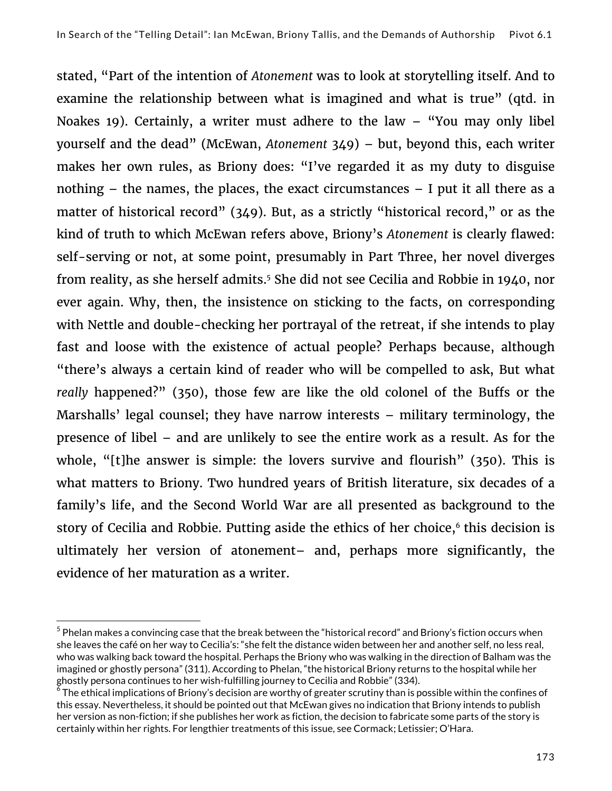stated, "Part of the intention of *Atonement* was to look at storytelling itself. And to examine the relationship between what is imagined and what is true" (qtd. in Noakes 19). Certainly, a writer must adhere to the law – "You may only libel yourself and the dead" (McEwan, *Atonement* 349) – but, beyond this, each writer makes her own rules, as Briony does: "I've regarded it as my duty to disguise nothing – the names, the places, the exact circumstances – I put it all there as a matter of historical record" (349). But, as a strictly "historical record," or as the kind of truth to which McEwan refers above, Briony's *Atonement* is clearly flawed: self-serving or not, at some point, presumably in Part Three, her novel diverges from reality, as she herself admits.<sup>5</sup> She did not see Cecilia and Robbie in 1940, nor ever again. Why, then, the insistence on sticking to the facts, on corresponding with Nettle and double-checking her portrayal of the retreat, if she intends to play fast and loose with the existence of actual people? Perhaps because, although "there's always a certain kind of reader who will be compelled to ask, But what *really* happened?" (350), those few are like the old colonel of the Buffs or the Marshalls' legal counsel; they have narrow interests – military terminology, the presence of libel – and are unlikely to see the entire work as a result. As for the whole, "[t]he answer is simple: the lovers survive and flourish" (350). This is what matters to Briony. Two hundred years of British literature, six decades of a family's life, and the Second World War are all presented as background to the story of Cecilia and Robbie. Putting aside the ethics of her choice,<sup>6</sup> this decision is ultimately her version of atonement– and, perhaps more significantly, the evidence of her maturation as a writer.

 $^5$  Phelan makes a convincing case that the break between the "historical record" and Briony's fiction occurs when she leaves the café on her way to Cecilia's: "she felt the distance widen between her and another self, no less real, who was walking back toward the hospital. Perhaps the Briony who was walking in the direction of Balham was the imagined or ghostly persona" (311). According to Phelan, "the historical Briony returns to the hospital while her ghostly persona continues to her wish-fulfilling journey to Cecilia and Robbie" (334).

 $^{\circ}$  The ethical implications of Briony's decision are worthy of greater scrutiny than is possible within the confines of this essay. Nevertheless, it should be pointed out that McEwan gives no indication that Briony intends to publish her version as non-fiction; if she publishes her work as fiction, the decision to fabricate some parts of the story is certainly within her rights. For lengthier treatments of this issue, see Cormack; Letissier; O'Hara.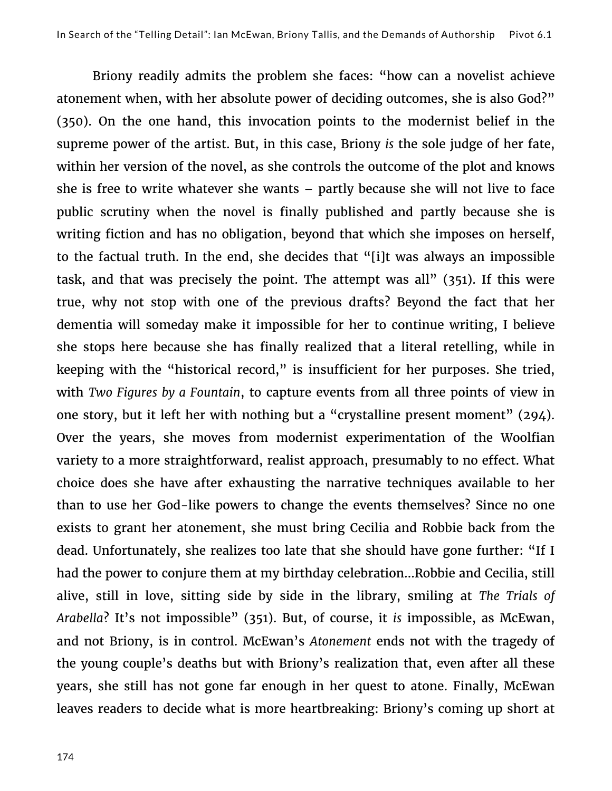Briony readily admits the problem she faces: "how can a novelist achieve atonement when, with her absolute power of deciding outcomes, she is also God?" (350). On the one hand, this invocation points to the modernist belief in the supreme power of the artist. But, in this case, Briony *is* the sole judge of her fate, within her version of the novel, as she controls the outcome of the plot and knows she is free to write whatever she wants – partly because she will not live to face public scrutiny when the novel is finally published and partly because she is writing fiction and has no obligation, beyond that which she imposes on herself, to the factual truth. In the end, she decides that "[i]t was always an impossible task, and that was precisely the point. The attempt was all" (351). If this were true, why not stop with one of the previous drafts? Beyond the fact that her dementia will someday make it impossible for her to continue writing, I believe she stops here because she has finally realized that a literal retelling, while in keeping with the "historical record," is insufficient for her purposes. She tried, with *Two Figures by a Fountain*, to capture events from all three points of view in one story, but it left her with nothing but a "crystalline present moment" (294). Over the years, she moves from modernist experimentation of the Woolfian variety to a more straightforward, realist approach, presumably to no effect. What choice does she have after exhausting the narrative techniques available to her than to use her God-like powers to change the events themselves? Since no one exists to grant her atonement, she must bring Cecilia and Robbie back from the dead. Unfortunately, she realizes too late that she should have gone further: "If I had the power to conjure them at my birthday celebration…Robbie and Cecilia, still alive, still in love, sitting side by side in the library, smiling at *The Trials of Arabella*? It's not impossible" (351). But, of course, it *is* impossible, as McEwan, and not Briony, is in control. McEwan's *Atonement* ends not with the tragedy of the young couple's deaths but with Briony's realization that, even after all these years, she still has not gone far enough in her quest to atone. Finally, McEwan leaves readers to decide what is more heartbreaking: Briony's coming up short at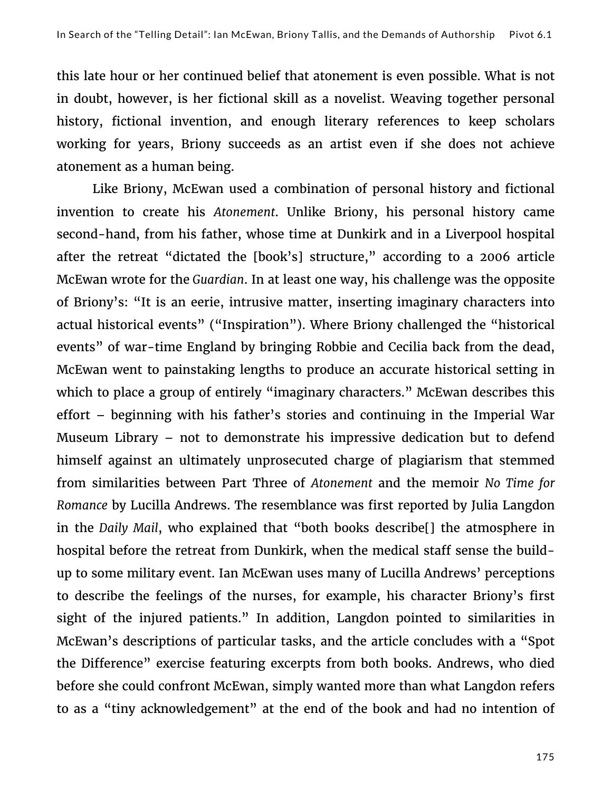this late hour or her continued belief that atonement is even possible. What is not in doubt, however, is her fictional skill as a novelist. Weaving together personal history, fictional invention, and enough literary references to keep scholars working for years, Briony succeeds as an artist even if she does not achieve atonement as a human being.

Like Briony, McEwan used a combination of personal history and fictional invention to create his *Atonement*. Unlike Briony, his personal history came second-hand, from his father, whose time at Dunkirk and in a Liverpool hospital after the retreat "dictated the [book's] structure," according to a 2006 article McEwan wrote for the *Guardian*. In at least one way, his challenge was the opposite of Briony's: "It is an eerie, intrusive matter, inserting imaginary characters into actual historical events" ("Inspiration"). Where Briony challenged the "historical events" of war-time England by bringing Robbie and Cecilia back from the dead, McEwan went to painstaking lengths to produce an accurate historical setting in which to place a group of entirely "imaginary characters." McEwan describes this effort – beginning with his father's stories and continuing in the Imperial War Museum Library – not to demonstrate his impressive dedication but to defend himself against an ultimately unprosecuted charge of plagiarism that stemmed from similarities between Part Three of *Atonement* and the memoir *No Time for Romance* by Lucilla Andrews. The resemblance was first reported by Julia Langdon in the *Daily Mail*, who explained that "both books describe[] the atmosphere in hospital before the retreat from Dunkirk, when the medical staff sense the buildup to some military event. Ian McEwan uses many of Lucilla Andrews' perceptions to describe the feelings of the nurses, for example, his character Briony's first sight of the injured patients." In addition, Langdon pointed to similarities in McEwan's descriptions of particular tasks, and the article concludes with a "Spot the Difference" exercise featuring excerpts from both books. Andrews, who died before she could confront McEwan, simply wanted more than what Langdon refers to as a "tiny acknowledgement" at the end of the book and had no intention of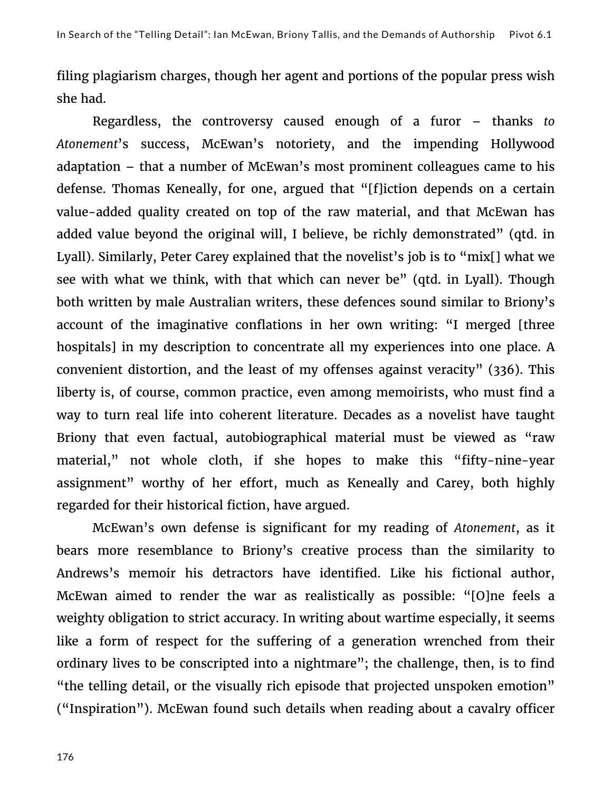filing plagiarism charges, though her agent and portions of the popular press wish she had.

Regardless, the controversy caused enough of a furor – thanks *to Atonement*'s success, McEwan's notoriety, and the impending Hollywood adaptation – that a number of McEwan's most prominent colleagues came to his defense. Thomas Keneally, for one, argued that "[f]iction depends on a certain value-added quality created on top of the raw material, and that McEwan has added value beyond the original will, I believe, be richly demonstrated" (qtd. in Lyall). Similarly, Peter Carey explained that the novelist's job is to "mix[] what we see with what we think, with that which can never be" (qtd. in Lyall). Though both written by male Australian writers, these defences sound similar to Briony's account of the imaginative conflations in her own writing: "I merged [three hospitals] in my description to concentrate all my experiences into one place. A convenient distortion, and the least of my offenses against veracity" (336). This liberty is, of course, common practice, even among memoirists, who must find a way to turn real life into coherent literature. Decades as a novelist have taught Briony that even factual, autobiographical material must be viewed as "raw material," not whole cloth, if she hopes to make this "fifty-nine-year assignment" worthy of her effort, much as Keneally and Carey, both highly regarded for their historical fiction, have argued.

McEwan's own defense is significant for my reading of *Atonement*, as it bears more resemblance to Briony's creative process than the similarity to Andrews's memoir his detractors have identified. Like his fictional author, McEwan aimed to render the war as realistically as possible: "[O]ne feels a weighty obligation to strict accuracy. In writing about wartime especially, it seems like a form of respect for the suffering of a generation wrenched from their ordinary lives to be conscripted into a nightmare"; the challenge, then, is to find "the telling detail, or the visually rich episode that projected unspoken emotion" ("Inspiration"). McEwan found such details when reading about a cavalry officer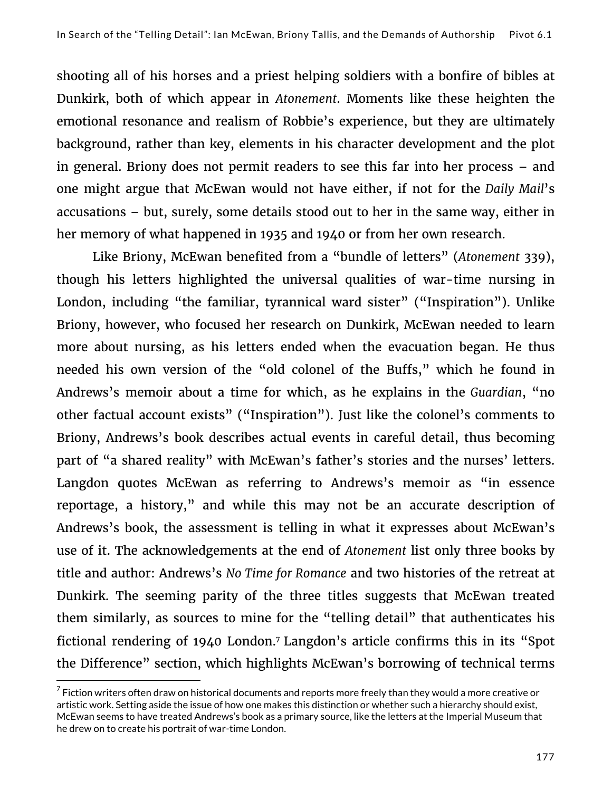shooting all of his horses and a priest helping soldiers with a bonfire of bibles at Dunkirk, both of which appear in *Atonement*. Moments like these heighten the emotional resonance and realism of Robbie's experience, but they are ultimately background, rather than key, elements in his character development and the plot in general. Briony does not permit readers to see this far into her process – and one might argue that McEwan would not have either, if not for the *Daily Mail*'s accusations – but, surely, some details stood out to her in the same way, either in her memory of what happened in 1935 and 1940 or from her own research.

Like Briony, McEwan benefited from a "bundle of letters" (*Atonement* 339), though his letters highlighted the universal qualities of war-time nursing in London, including "the familiar, tyrannical ward sister" ("Inspiration"). Unlike Briony, however, who focused her research on Dunkirk, McEwan needed to learn more about nursing, as his letters ended when the evacuation began. He thus needed his own version of the "old colonel of the Buffs," which he found in Andrews's memoir about a time for which, as he explains in the *Guardian*, "no other factual account exists" ("Inspiration"). Just like the colonel's comments to Briony, Andrews's book describes actual events in careful detail, thus becoming part of "a shared reality" with McEwan's father's stories and the nurses' letters. Langdon quotes McEwan as referring to Andrews's memoir as "in essence reportage, a history," and while this may not be an accurate description of Andrews's book, the assessment is telling in what it expresses about McEwan's use of it. The acknowledgements at the end of *Atonement* list only three books by title and author: Andrews's *No Time for Romance* and two histories of the retreat at Dunkirk. The seeming parity of the three titles suggests that McEwan treated them similarly, as sources to mine for the "telling detail" that authenticates his fictional rendering of 1940 London.7 Langdon's article confirms this in its "Spot the Difference" section, which highlights McEwan's borrowing of technical terms

 $^7$  Fiction writers often draw on historical documents and reports more freely than they would a more creative or artistic work. Setting aside the issue of how one makes this distinction or whether such a hierarchy should exist, McEwan seems to have treated Andrews's book as a primary source, like the letters at the Imperial Museum that he drew on to create his portrait of war-time London.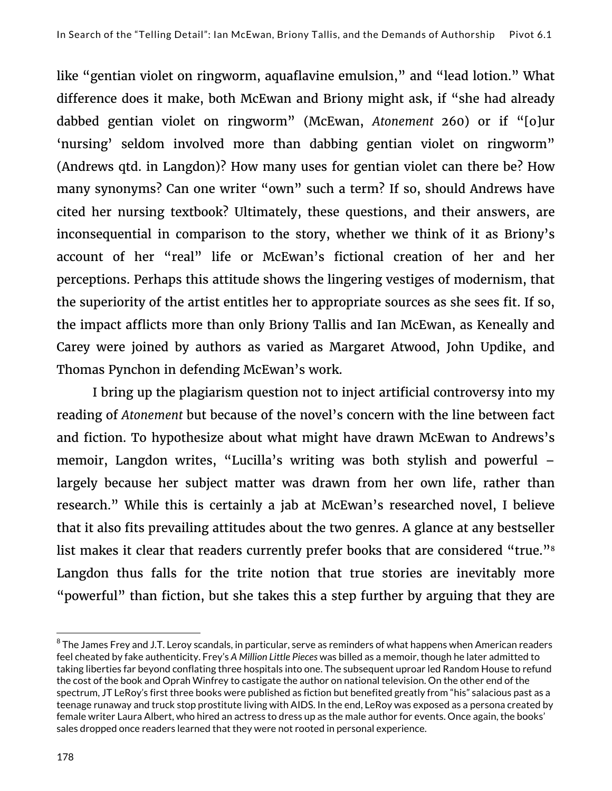like "gentian violet on ringworm, aquaflavine emulsion," and "lead lotion." What difference does it make, both McEwan and Briony might ask, if "she had already dabbed gentian violet on ringworm" (McEwan, *Atonement* 260) or if "[o]ur 'nursing' seldom involved more than dabbing gentian violet on ringworm" (Andrews qtd. in Langdon)? How many uses for gentian violet can there be? How many synonyms? Can one writer "own" such a term? If so, should Andrews have cited her nursing textbook? Ultimately, these questions, and their answers, are inconsequential in comparison to the story, whether we think of it as Briony's account of her "real" life or McEwan's fictional creation of her and her perceptions. Perhaps this attitude shows the lingering vestiges of modernism, that the superiority of the artist entitles her to appropriate sources as she sees fit. If so, the impact afflicts more than only Briony Tallis and Ian McEwan, as Keneally and Carey were joined by authors as varied as Margaret Atwood, John Updike, and Thomas Pynchon in defending McEwan's work.

I bring up the plagiarism question not to inject artificial controversy into my reading of *Atonement* but because of the novel's concern with the line between fact and fiction. To hypothesize about what might have drawn McEwan to Andrews's memoir, Langdon writes, "Lucilla's writing was both stylish and powerful – largely because her subject matter was drawn from her own life, rather than research." While this is certainly a jab at McEwan's researched novel, I believe that it also fits prevailing attitudes about the two genres. A glance at any bestseller list makes it clear that readers currently prefer books that are considered "true."<sup>8</sup> Langdon thus falls for the trite notion that true stories are inevitably more "powerful" than fiction, but she takes this a step further by arguing that they are

 $^8$  The James Frey and J.T. Leroy scandals, in particular, serve as reminders of what happens when American readers feel cheated by fake authenticity. Frey's *A Million Little Pieces* was billed as a memoir, though he later admitted to taking liberties far beyond conflating three hospitals into one. The subsequent uproar led Random House to refund the cost of the book and Oprah Winfrey to castigate the author on national television. On the other end of the spectrum, JT LeRoy's first three books were published as fiction but benefited greatly from "his" salacious past as a teenage runaway and truck stop prostitute living with AIDS. In the end, LeRoy was exposed as a persona created by female writer Laura Albert, who hired an actress to dress up as the male author for events. Once again, the books' sales dropped once readers learned that they were not rooted in personal experience.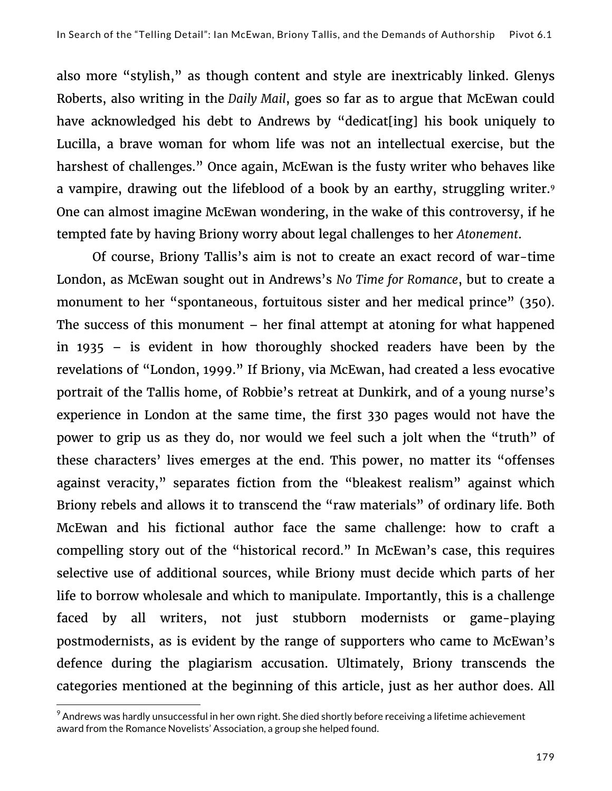also more "stylish," as though content and style are inextricably linked. Glenys Roberts, also writing in the *Daily Mail*, goes so far as to argue that McEwan could have acknowledged his debt to Andrews by "dedicat[ing] his book uniquely to Lucilla, a brave woman for whom life was not an intellectual exercise, but the harshest of challenges." Once again, McEwan is the fusty writer who behaves like a vampire, drawing out the lifeblood of a book by an earthy, struggling writer.<sup>9</sup> One can almost imagine McEwan wondering, in the wake of this controversy, if he tempted fate by having Briony worry about legal challenges to her *Atonement*.

Of course, Briony Tallis's aim is not to create an exact record of war-time London, as McEwan sought out in Andrews's *No Time for Romance*, but to create a monument to her "spontaneous, fortuitous sister and her medical prince" (350). The success of this monument – her final attempt at atoning for what happened in 1935 – is evident in how thoroughly shocked readers have been by the revelations of "London, 1999." If Briony, via McEwan, had created a less evocative portrait of the Tallis home, of Robbie's retreat at Dunkirk, and of a young nurse's experience in London at the same time, the first 330 pages would not have the power to grip us as they do, nor would we feel such a jolt when the "truth" of these characters' lives emerges at the end. This power, no matter its "offenses against veracity," separates fiction from the "bleakest realism" against which Briony rebels and allows it to transcend the "raw materials" of ordinary life. Both McEwan and his fictional author face the same challenge: how to craft a compelling story out of the "historical record." In McEwan's case, this requires selective use of additional sources, while Briony must decide which parts of her life to borrow wholesale and which to manipulate. Importantly, this is a challenge faced by all writers, not just stubborn modernists or game-playing postmodernists, as is evident by the range of supporters who came to McEwan's defence during the plagiarism accusation. Ultimately, Briony transcends the categories mentioned at the beginning of this article, just as her author does. All

 $^9$  Andrews was hardly unsuccessful in her own right. She died shortly before receiving a lifetime achievement  $\,$ award from the Romance Novelists' Association, a group she helped found.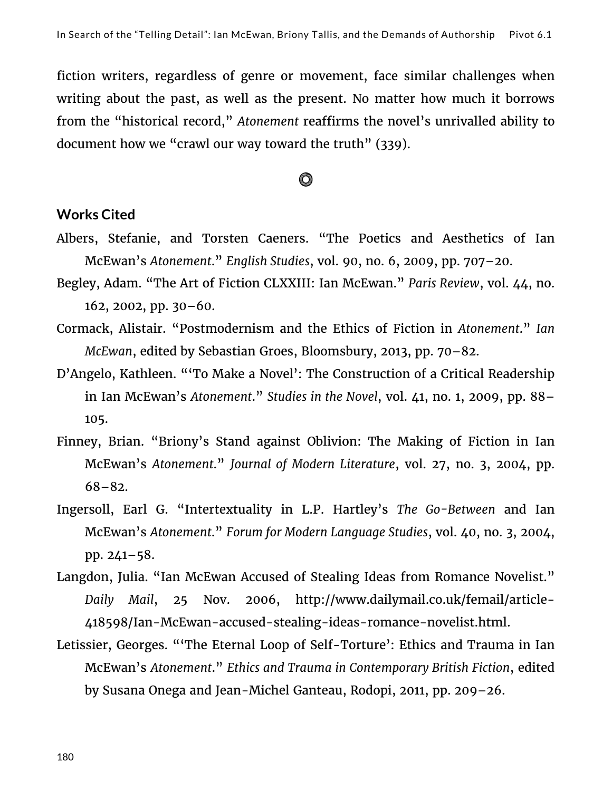fiction writers, regardless of genre or movement, face similar challenges when writing about the past, as well as the present. No matter how much it borrows from the "historical record," *Atonement* reaffirms the novel's unrivalled ability to document how we "crawl our way toward the truth" (339).

### O

#### **Works Cited**

- Albers, Stefanie, and Torsten Caeners. "The Poetics and Aesthetics of Ian McEwan's *Atonement*." *English Studies*, vol. 90, no. 6, 2009, pp. 707–20.
- Begley, Adam. "The Art of Fiction CLXXIII: Ian McEwan." *Paris Review*, vol. 44, no. 162, 2002, pp. 30–60.
- Cormack, Alistair. "Postmodernism and the Ethics of Fiction in *Atonement*." *Ian McEwan*, edited by Sebastian Groes, Bloomsbury, 2013, pp. 70–82.
- D'Angelo, Kathleen. "'To Make a Novel': The Construction of a Critical Readership in Ian McEwan's *Atonement*." *Studies in the Novel*, vol. 41, no. 1, 2009, pp. 88– 105.
- Finney, Brian. "Briony's Stand against Oblivion: The Making of Fiction in Ian McEwan's *Atonement*." *Journal of Modern Literature*, vol. 27, no. 3, 2004, pp. 68–82.
- Ingersoll, Earl G. "Intertextuality in L.P. Hartley's *The Go-Between* and Ian McEwan's *Atonement*." *Forum for Modern Language Studies*, vol. 40, no. 3, 2004, pp. 241–58.
- Langdon, Julia. "Ian McEwan Accused of Stealing Ideas from Romance Novelist." *Daily Mail*, 25 Nov. 2006, http://www.dailymail.co.uk/femail/article-418598/Ian-McEwan-accused-stealing-ideas-romance-novelist.html.
- Letissier, Georges. "'The Eternal Loop of Self-Torture': Ethics and Trauma in Ian McEwan's *Atonement*." *Ethics and Trauma in Contemporary British Fiction*, edited by Susana Onega and Jean-Michel Ganteau, Rodopi, 2011, pp. 209–26.